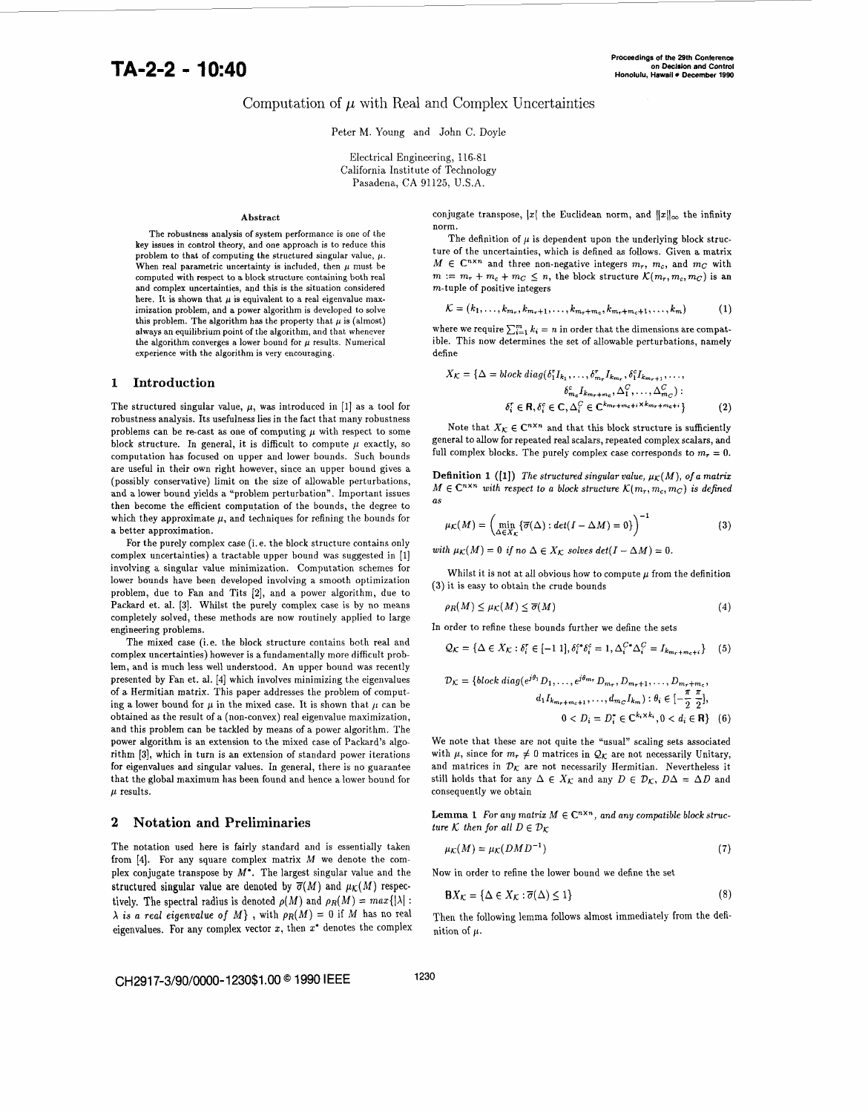# Computation of  $\mu$  with Real and Complex Uncertainties

Peter M. Young and John C. Doyle

Electrical Engineering, 116-81 California Institute of Technology Pasadena, CA 91125, U.S.A.

#### Abstract

The robustness analysis of system performance is one of the key issues in control theory, and one approach is to reduce this problem to that of computing the structured singular value,  $\mu$ . When real parametric uncertainty is included, then  $\mu$  must be computed with respect to a block structure containing both real and complex uncertainties, and this is the situation considered here. It is shown that  $\mu$  is equivalent to a real eigenvalue maximization problem, and a power algorithm is developed to solve this problem. The algorithm has the property that  $\mu$  is (almost) always an equilibrium point of the algorithm, and that whenever the algorithm converges a lower bound for *u* results. Numerical experience with the algorithm is very encouraging.

# **1 Introduction**

The structured singular value,  $\mu$ , was introduced in [1] as a tool for robustness analysis. Its usefulness lies in the fact that many robustness problems can be re-cast as one of computing  $\mu$  with respect to some block structure. In general, it is difficult to compute  $\mu$  exactly, so computation has focused on upper and lower bounds. Such bounds are useful in their own right however, since an upper bound gives a (possibly conservative) limit on the size of allowable perturbations, and a lower bound yields a "problem perturbation". Important issues then become the efficient computation of the bounds, the degree to which they approximate  $\mu$ , and techniques for refining the bounds for a better approximation.

For the purely complex case (i.e. the block structure contains only complex uncertainties) a tractable upper bound was suggested in [l] involving a singular value minimization. Computation schemes for lower bounds have been developed involving a smooth optimization problem, due to Fan and Tits **[2],** and a power algorithm, due to Packard et. al. [3]. Whilst the purely complex case is by no means completely solved, these methods are now routinely applied to large engineering problems.

The mixed case (i.e. the block structure contains both real and complex uncertainties) however is a fundamentally more difficult problem, and is much less well understood. An upper bound was recently presented by Fan et. al. **[4]** which involves minimizing the eigenvalues of a Hermitian matrix. This paper addresses the problem of computing a lower bound for  $\mu$  in the mixed case. It is shown that  $\mu$  can be obtained as the result of a (non-convex) real eigenvalue maximization, and this problem can be tackled by means of a power algorithm. The power algorithm is an extension to the mixed case of Packard's algorithm **[3],** which in turn is an extension of standard power iterations for eigenvalues and singular values. In general, there is no guarantee that the global maximum has been found and hence a lower bound for  $\mu$  results.

## **2 Notation and Preliminaries**

The notation used here is fairly standard and is essentially taken from **[4].** For any square complex matrix *M* we denote the complex conjugate transpose by *M'.* The largest singular value and the structured singular value are denoted by  $\overline{\sigma}(M)$  and  $\mu_{\mathcal{K}}(M)$  respectively. The spectral radius is denoted  $\rho(M)$  and  $\rho_R(M) = max\{|\lambda| :$  $\lambda$  *is a real eigenvalue of*  $M$ }, with  $\rho_R(M) = 0$  if  $M$  has no real eigenvalues. For any complex vector *x,* then **Z\*** denotes the complex

conjugate transpose,  $|x|$  the Euclidean norm, and  $||x||_{\infty}$  the infinity norm.

The definition of  $\mu$  is dependent upon the underlying block structure of the uncertainties, which is defined **as** follows. Given a matrix  $M \in \mathbb{C}^{n \times n}$  and three non-negative integers  $m_r$ ,  $m_c$ , and  $m_c$  with  $m := m_r + m_c + m_C \leq n$ , the block structure  $\mathcal{K}(m_r, m_c, m_C)$  is an m-tuple of positive integers

$$
\mathcal{K} = (k_1, \dots, k_{m_r}, k_{m_r+1}, \dots, k_{m_r+m_c}, k_{m_r+m_c+1}, \dots, k_m)
$$
 (1)

where we require  $\sum_{i=1}^{m} k_i = n$  in order that the dimensions are compatible. This now determines the set of allowable perturbations, namely define

$$
X_{\mathcal{K}} = \{ \Delta = block \ diag(\delta_1^{\tau} I_{k_1}, \dots, \delta_{m_{\tau}}^{\tau} I_{k_{m_{\tau}}}, \delta_1^c I_{k_{m_{\tau+1}}}, \dots, \n\delta_{m_c}^c I_{k_{m_{\tau}+m_c}}, \Delta_1^C, \dots, \Delta_{m_C}^C) : \n\delta_i^{\tau} \in \mathbf{R}, \delta_i^c \in \mathbf{C}, \Delta_i^C \in \mathbf{C}^{k_{m_{\tau}+m_c} + i \times k_{m_{\tau}+m_c + i}} \}
$$
\n(2)

Note that  $X_K \in \mathbb{C}^{n \times n}$  and that this block structure is sufficiently general to allow for repeated real scalars, repeated complex scalars, and full complex blocks. The purely complex case corresponds to  $m_r = 0$ .

**Definition 1** ([1]) *The structured singular value,*  $\mu_K(M)$ *, of a matrix*  $M \in \mathbb{C}^{n \times n}$  *with respect to a block structure*  $\mathcal{K}(m_r, m_c, m_C)$  *is defined as* 

$$
\mu_{\mathcal{K}}(M) = \left( \min_{\Delta \in X_{\mathcal{K}}} \{ \overline{\sigma}(\Delta) : \det(I - \Delta M) = 0 \} \right)^{-1}
$$
 (3)

*with*  $\mu_K(M) = 0$  *if no*  $\Delta \in X_K$  *solves det* $(I - \Delta M) = 0$ .

Whilst it is not at all obvious how to compute  $\mu$  from the definition **(3)** it is easy to obtain the crude bounds

$$
\rho_R(M) \le \mu_K(M) \le \overline{\sigma}(M) \tag{4}
$$

In order to refine these bounds further we define the sets

$$
\mathcal{Q}_{\mathcal{K}} = \{ \Delta \in X_{\mathcal{K}} : \delta_i^r \in [-1 \, 1], \delta_i^{c*} \delta_i^c = 1, \Delta_i^{C*} \Delta_i^C = I_{k_{m_r + m_c + i}} \} \quad (5)
$$

$$
\mathcal{D}_{\mathcal{K}} = \{block\ diag(e^{j\theta_1}D_1, \dots, e^{j\theta_{m_r}}D_{m_r}, D_{m_r+1}, \dots, D_{m_r+m_c},
$$
  

$$
d_1 I_{k_{m_r+m_c+1}}, \dots, d_{m_c} I_{k_m}) : \theta_i \in [-\frac{\pi}{2}, \frac{\pi}{2}],
$$
  

$$
0 < D_i = D_i^* \in \mathbb{C}^{k_i \times k_i}, 0 < d_i \in \mathbb{R} \} \quad (6)
$$

We note that these are not quite the "usual" scaling sets associated with  $\mu$ , since for  $m_r \neq 0$  matrices in  $\mathcal{Q}_K$  are not necessarily Unitary, and matrices in  $\mathcal{D}_{\mathcal{K}}$  are not necessarily Hermitian. Nevertheless it still holds that for any  $\Delta \in X_K$  and any  $D \in \mathcal{D}_K$ ,  $D\Delta = \Delta D$  and consequently we obtain

Lemma 1 For any matrix  $M \in \mathbb{C}^{n \times n}$ , and any compatible block struc*ture K then for all*  $D \in \mathcal{D_K}$ 

$$
\mu_{\mathcal{K}}(M) = \mu_{\mathcal{K}}(DMD^{-1})
$$
\n(7)

Now in order to refine the lower bound we define the set

$$
\mathbf{B}X_{\mathcal{K}} = \{ \Delta \in X_{\mathcal{K}} : \overline{\sigma}(\Delta) \le 1 \}
$$
 (8)

Then the following lemma follows almost immediately from the definition of  $\mu$ .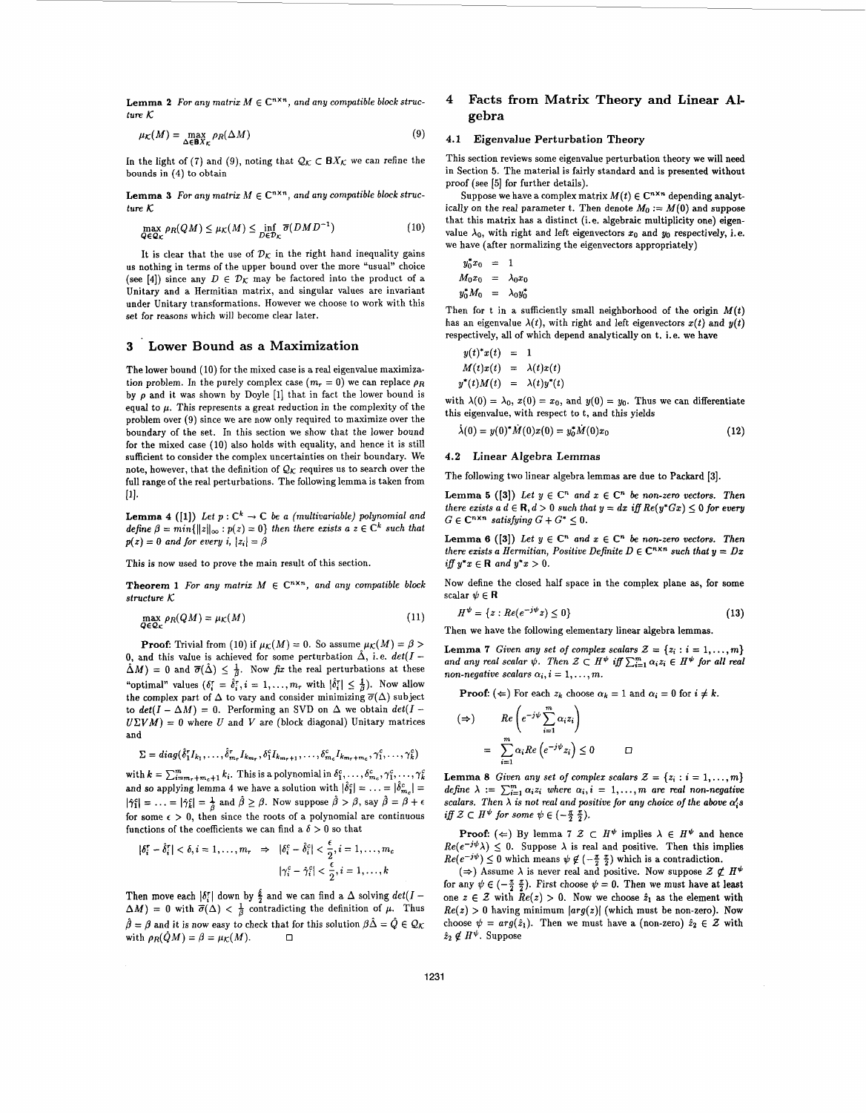**Lemma 2** For any matrix  $M \in \mathbb{C}^{n \times n}$ , and any compatible block structure *K* 

$$
\mu_{\mathcal{K}}(M) = \max_{\Delta \in \mathbf{B} X_{\mathcal{F}}} \rho_R(\Delta M) \tag{9}
$$

In the light of (7) and (9), noting that  $Q_K \subset B X_K$  we can refine the bounds in (4) to obtain

**Lemma 3** For any matrix  $M \in C^{n \times n}$ , and any compatible block structure *K* 

$$
\max_{Q \in \mathcal{Q}_{\mathcal{K}}} \rho_R(QM) \le \mu_{\mathcal{K}}(M) \le \inf_{D \in \mathcal{D}_{\mathcal{K}}} \overline{\sigma}(DMD^{-1})
$$
\n(10)

It is clear that the use of  $\mathcal{D}_{\mathcal{K}}$  in the right hand inequality gains us nothing in terms of the upper bound over the more "usual" choice (see [4]) since any  $D \in \mathcal{D}_K$  may be factored into the product of a Unitary and a Hermitian matrix, and singular values are invariant under Unitary transformations. However we choose to work with this set for reasons which will become clear later.

## **3 Lower Bound as a Maximization**

The lower bound (10) for the mixed case is a real eigenvalue maximization problem. In the purely complex case  $(m_r = 0)$  we can replace  $\rho_R$ by  $\rho$  and it was shown by Doyle [1] that in fact the lower bound is equal to  $\mu$ . This represents a great reduction in the complexity of the problem over (9) since we are now only required to maximize over the boundary of the set. In this section we show that the lower bound for the mixed case (10) also holds with equality, and hence it is still sufficient to consider the complex uncertainties on their boundary. We note, however, that the definition of  $\mathcal{Q}_F$  requires us to search over the full range of the real perturbations. The following lemma is taken from  $[1]$ .

**Lemma 4** ([1]) Let  $p: C^k \to C$  be a (multivariable) polynomial and *define*  $\beta = min{\{\Vert z \Vert_{\infty} : p(z) = 0\}}$  *then there exists*  $a \ z \in \mathbb{C}^k$  *such that*  $p(z) = 0$  and for every *i*,  $|z_i| = \beta$ 

This is now used to prove the main result of this section.

**Theorem 1** For any matrix  $M \in \mathbb{C}^{n \times n}$ , and any compatible block structure *K* 

$$
\max_{Q \in \mathcal{Q}_{\mathcal{K}}} \rho_R(QM) = \mu_{\mathcal{K}}(M) \tag{11}
$$

**Proof:** Trivial from (10) if  $\mu_K(M) = 0$ . So assume  $\mu_K(M) = \beta >$ 0, and this value is achieved for some perturbation  $\hat{\Delta}$ , i.e.  $det(I \Delta M$ ) = 0 and  $\overline{\sigma}(\hat{\Delta}) \leq \frac{1}{\beta}$ . Now *fix* the real perturbations at these "optimal" values  $(\delta_i^r = \hat{\delta}_i^r, i = 1, \ldots, m_r \text{ with } |\hat{\delta}_i^r| \leq \frac{1}{\beta})$ . Now allow the complex part of  $\Delta$  to vary and consider minimizing  $\overline{\sigma}(\Delta)$  subject to  $det(I - \Delta M) = 0$ . Performing an SVD on  $\Delta$  we obtain  $det(I U\Sigma VM$ ) = 0 where *U* and *V* are (block diagonal) Unitary matrices and

$$
\Sigma = diag(\hat{\delta}_1^{\mathsf{T}} I_{k_1}, \ldots, \hat{\delta}_{m_{\mathsf{T}}}^{\mathsf{T}} I_{k_{m_{\mathsf{T}}}}, \delta_1^{\mathsf{c}} I_{k_{m_{\mathsf{T}}}+1}, \ldots, \delta_{m_{\mathsf{c}}}^{\mathsf{c}} I_{k_{m_{\mathsf{T}}}+m_{\mathsf{c}}}, \gamma_1^{\mathsf{c}}, \ldots, \gamma_k^{\mathsf{c}})
$$

with  $k = \sum_{i=m_r+m_c+1}^{m} k_i$ . This is a polynomial in  $\delta_1^c, \ldots, \delta_{m_c}^c, \gamma_1^c, \ldots, \gamma_k^c$ and so applying lemma 4 we have a solution with  $|\hat{\delta}_1^c| = \ldots = |\hat{\delta}_{m_c}^c| =$  $|\hat{\gamma}_1^c| = \ldots = |\hat{\gamma}_k^c| = \frac{1}{\hat{\beta}}$  and  $\hat{\beta} \geq \beta$ . Now suppose  $\hat{\beta} > \beta$ , say  $\hat{\beta} = \beta + \epsilon$ for some  $\epsilon > 0$ , then since the roots of a polynomial are continuous functions of the coefficients we can find a  $\delta>0$  so that

$$
|\delta_i^{\tau} - \hat{\delta}_i^{\tau}| < \delta, i = 1, \dots, m_{\tau} \Rightarrow |\delta_i^c - \hat{\delta}_i^c| < \frac{\epsilon}{2}, i = 1, \dots, m_c
$$
\n
$$
|\gamma_i^c - \hat{\gamma}_i^c| < \frac{\epsilon}{2}, i = 1, \dots, k
$$

Then move each  $\left|\delta_i^r\right|$  down by  $\frac{\delta}{2}$  and we can find a  $\Delta$  solving  $det(I \Delta M$ ) = 0 with  $\overline{\sigma}(\Delta) < \frac{1}{\beta}$  contradicting the definition of  $\mu$ . Thus  $\hat{\beta} = \beta$  and it is now easy to check that for this solution  $\beta \hat{\Delta} = \hat{Q} \in \mathcal{Q}_K$ with  $\rho_R(\tilde{Q}M) = \beta = \mu_K(M)$ .  $\Box$ 

## **4 Facts from Matrix Theory and Linear Algebra**

#### **4.1 Eigenvalue Perturbation Theory**

This section reviews some eigenvalue perturbation theory we will need in Section *5.* The material is fairly standard and is presented without proof (see *[5]* for further details).

Suppose we have a complex matrix  $M(t) \in \mathbb{C}^{n \times n}$  depending analytically on the real parameter t. Then denote  $M_0 := M(0)$  and suppose that this matrix has a distinct (i.e. algebraic multiplicity one) eigenvalue  $\lambda_0$ , with right and left eigenvectors  $x_0$  and  $y_0$  respectively, i.e. we have (after normalizing the eigenvectors appropriately)

$$
y_0^* x_0 = 1
$$
  
\n
$$
M_0 x_0 = \lambda_0 x_0
$$
  
\n
$$
y_0^* M_0 = \lambda_0 y_0^*
$$

Then for t in a sufficiently small neighborhood of the origin *M(t)*  has an eigenvalue  $\lambda(t)$ , with right and left eigenvectors  $x(t)$  and  $y(t)$ respectively, all of which depend analytically on t. i.e. we have

$$
y(t)^*x(t) = 1
$$
  
\n
$$
M(t)x(t) = \lambda(t)x(t)
$$
  
\n
$$
y^*(t)M(t) = \lambda(t)y^*(t)
$$

with  $\lambda(0) = \lambda_0$ ,  $x(0) = x_0$ , and  $y(0) = y_0$ . Thus we can differentiate this eigenvalue, with respect to t, and this yields

$$
\dot{\lambda}(0) = y(0)^{*}\dot{M}(0)x(0) = y_{0}^{*}\dot{M}(0)x_{0}
$$
\n(12)

#### **4.2 Linear Algebra Lemmas**

The following two linear algebra lemmas are due to Packard **[3].** 

**Lemma 5** ([3]) Let  $y \in \mathbb{C}^n$  and  $x \in \mathbb{C}^n$  be non-zero vectors. Then *there exists a*  $d \in \mathbb{R}, d > 0$  *such that*  $y = dx$  *iff*  $Re(y^*Gx) \leq 0$  *for every*  $G \in \mathbb{C}^{n \times n}$  satisfying  $G + G^* \leq 0$ .

**Lemma 6** ([3]) Let  $y \in \mathbb{C}^n$  and  $x \in \mathbb{C}^n$  be non-zero vectors. Then *there exists a Hermitian, Positive Definite*  $D \in \mathbb{C}^{n \times n}$  *such that*  $y = Dx$ *iff*  $y^*x \in \mathbb{R}$  *and*  $y^*x > 0$ *.* 

Now define the closed half space in the complex plane **as,** for some scalar  $\psi \in \mathbf{R}$ 

$$
H^{\psi} = \{z : Re(e^{-j\psi}z) \le 0\}
$$
\n<sup>(13)</sup>

Then we have the following elementary linear algebra lemmas.

**Lemma 7** *Given any set of complex scalars*  $Z = \{z_i : i = 1, ..., m\}$ *and any real scalar*  $\psi$ *. Then*  $\mathcal{Z} \subset H^{\psi}$  *iff*  $\sum_{i=1}^{m} \alpha_i z_i \in H^{\psi}$  for all real *non-negative scalars*  $\alpha_i$ ,  $i = 1, \ldots, m$ .

**Proof:**  $(\Leftarrow)$  For each  $z_k$  choose  $\alpha_k = 1$  and  $\alpha_i = 0$  for  $i \neq k$ .

 $\sim$ 

$$
(\Rightarrow) \qquad Re\left(e^{-j\psi}\sum_{i=1}^{n} \alpha_i z_i\right)
$$

$$
= \sum_{i=1}^{m} \alpha_i Re\left(e^{-j\psi} z_i\right) \leq 0
$$

 $\sqrt{m}$ 

**Lemma 8** *Given any set of complex scalars*  $Z = \{z_i : i = 1, ..., m\}$ *define*  $\lambda := \sum_{i=1}^{m} \alpha_i z_i$  where  $\alpha_i, i = 1, \ldots, m$  are real non-negative *scalars. Then*  $\lambda$  *is not real and positive for any choice of the above*  $\alpha_i's$ *iff*  $\mathcal{Z} \subset H^{\psi}$  for some  $\psi \in (-\frac{\pi}{2}, \frac{\pi}{2})$ .

 $\Box$ 

**Proof:**  $(\Leftarrow)$  By lemma 7  $\mathcal{Z} \subset H^{\psi}$  implies  $\lambda \in H^{\psi}$  and hence  $Re(e^{-j\psi}\lambda) \leq 0$ . Suppose  $\lambda$  is real and positive. Then this implies  $Re(e^{-j\psi}) \leq 0$  which means  $\psi \notin (-\frac{\pi}{2}, \frac{\pi}{2})$  which is a contradiction.

 $(\Rightarrow)$  Assume  $\lambda$  is never real and positive. Now suppose  $\mathcal{Z} \not\subset H^{\psi}$ for any  $\psi \in (-\frac{\pi}{2}, \frac{\pi}{2})$ . First choose  $\psi = 0$ . Then we must have at least one  $z \in \mathcal{Z}$  with  $Re(z) > 0$ . Now we choose  $\hat{z}_1$  as the element with  $Re(z) > 0$  having minimum  $|arg(z)|$  (which must be non-zero). Now choose  $\psi = arg(\hat{z}_1)$ . Then we must have a (non-zero)  $\hat{z}_2 \in \mathcal{Z}$  with  $\hat{z}_2 \notin H^{\psi}$ . Suppose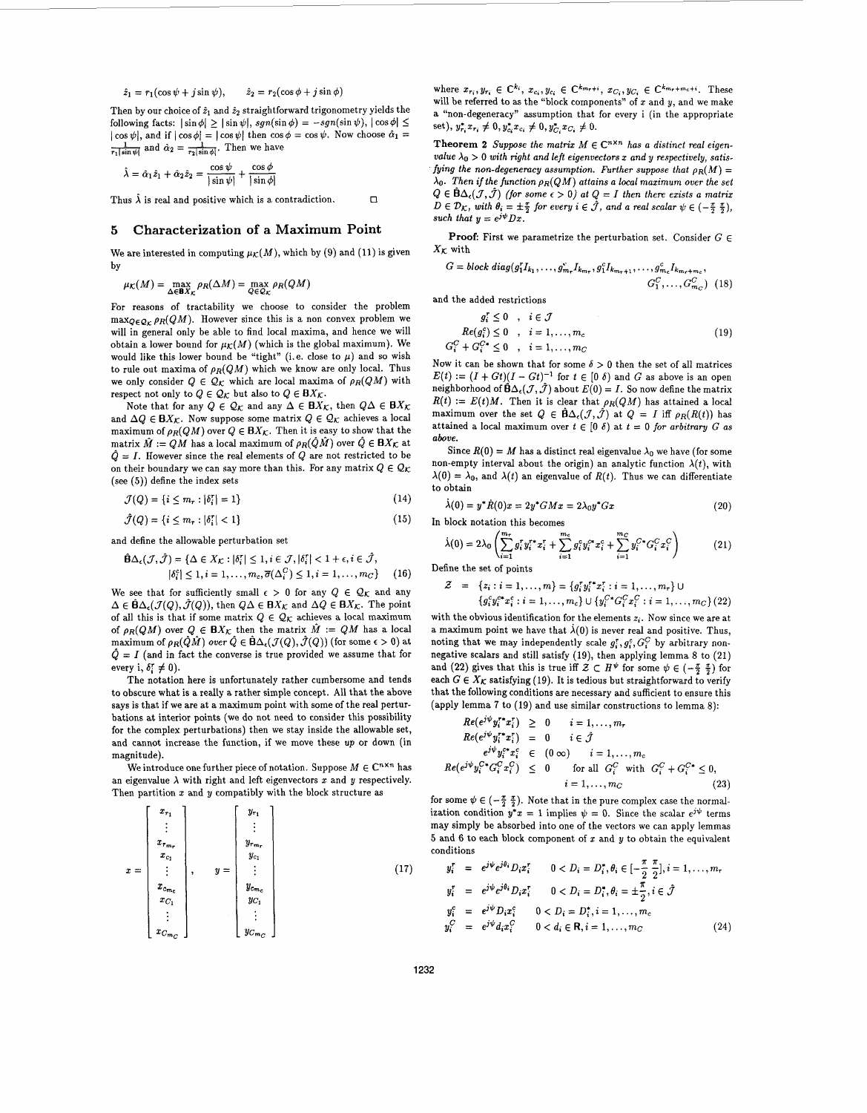$\hat{z}_1 = r_1(\cos\psi + j\sin\psi), \qquad \hat{z}_2 = r_2(\cos\phi + j\sin\phi)$ 

Then by our choice of  $\hat{z}_1$  and  $\hat{z}_2$  straightforward trigonometry yields the following facts:  $|\sin \phi| > |\sin \psi|$ ,  $sgn(\sin \phi) = -sgn(\sin \psi)$ ,  $|\cos \phi| \le$  $|\cos \psi|$ , and if  $|\cos \phi| = |\cos \psi|$  then  $\cos \phi = \cos \psi$ . Now choose  $\hat{\alpha}_1 =$ g facts:  $|\sin \phi| \ge |\sin \psi|$ , sgn(sin<br>and if  $|\cos \phi| = |\cos \psi|$  then  $\cos$ <br>and  $\alpha_2 = \frac{1}{r_2 |\sin \phi|}$ . Then we have

$$
\hat{\lambda} = \hat{\alpha}_1 \hat{z}_1 + \hat{\alpha}_2 \hat{z}_2 = \frac{\cos \psi}{|\sin \psi|} + \frac{\cos \phi}{|\sin \phi|}
$$

Thus  $\hat{\lambda}$  is real and positive which is a contradiction.  $\Box$ 

#### **5 Characterization of a Maximum Point**

We are interested in computing  $\mu_K(M)$ , which by (9) and (11) is given by

$$
\mu_K(M) = \max_{\Delta \in \mathbf{B}_{X\mathbf{r}}} \rho_R(\Delta M) = \max_{Q \in \mathcal{Q}_{K}} \rho_R(QM)
$$

For reasons of tractability we choose to consider the problem  $\max_{Q \in Q_r} \rho_R(QM)$ . However since this is a non convex problem we will in general only be able to find local maxima, and hence we will obtain a lower bound for  $\mu$ <sub>K</sub>(M) (which is the global maximum). We would like this lower bound be "tight" (i.e. close to  $\mu$ ) and so wish to rule out maxima of  $\rho_R(QM)$  which we know are only local. Thus we only consider  $Q \in \mathcal{Q}_K$  which are local maxima of  $\rho_R(QM)$  with respect not only to  $Q \in \mathcal{Q}_K$  but also to  $Q \in BX_K$ .

Note that for any  $Q \in \mathcal{Q}_{\mathcal{K}}$  and any  $\Delta \in \mathbf{B}X_{\mathcal{K}}$ , then  $Q\Delta \in \mathbf{B}X_{\mathcal{K}}$ and  $\Delta Q \in \mathbf{B}X_{\mathcal{K}}$ . Now suppose some matrix  $Q \in \mathcal{Q}_{\mathcal{K}}$  achieves a local maximum of  $\rho_R(QM)$  over  $Q \in BX_{\mathcal{K}}$ . Then it is easy to show that the matrix  $\hat{M} := QM$  has a local maximum of  $\rho_B(\hat{Q}M)$  over  $\hat{Q} \in \mathbf{B}X_K$  at  $\hat{Q} = I$ . However since the real elements of *Q* are not restricted to be on their boundary we can say more than this. For any matrix  $Q \in \mathcal{Q}_K$ (see *(5))* define the index sets

$$
\mathcal{J}(Q) = \{i \le m_r : |\delta_i^r| = 1\}
$$
\n<sup>(14)</sup>

$$
\hat{\mathcal{J}}(Q) = \{i \le m_r : |\delta_i^r| < 1\} \tag{15}
$$

and define the allowable perturbation set

$$
\hat{\mathbf{B}}\Delta_{\epsilon}(\mathcal{J},\hat{\mathcal{J}}) = \{ \Delta \in X_{\mathcal{K}} : |\delta_{i}^{r}| \leq 1, i \in \mathcal{J}, |\delta_{i}^{r}| < 1 + \epsilon, i \in \hat{\mathcal{J}},
$$
  
 
$$
|\delta_{i}^{s}| \leq 1, i = 1, \dots, m_{c}, \overline{\sigma}(\Delta_{i}^{C}) \leq 1, i = 1, \dots, m_{C}\}
$$
 (16)

We see that for sufficiently small  $\epsilon > 0$  for any  $Q \in \mathcal{Q}_K$  and any  $\Delta \in \hat{\mathbf{B}}\Delta_{\epsilon}(\mathcal{J}(Q), \hat{\mathcal{J}}(Q)),$  then  $Q\Delta \in \mathbf{B}X_{\mathcal{K}}$  and  $\Delta Q \in \mathbf{B}X_{\mathcal{K}}$ . The point of all this is that if some matrix  $Q \in \mathcal{Q}_K$  achieves a local maximum of  $\rho_R(QM)$  over  $Q \in \mathbf{B}X_\mathcal{K}$  then the matrix  $\hat{M} := QM$  has a local maximum of  $\rho_R(\hat{Q}M)$  over  $\hat{Q} \in \hat{B}\Delta_{\epsilon}(\mathcal{J}(Q), \hat{\mathcal{J}}(Q))$  (for some  $\epsilon > 0$ ) at  $\hat{Q} = I$  (and in fact the converse is true provided we assume that for every i,  $\delta_i^r \neq 0$ ).

The notation here is unfortunately rather cumbersome and tends to obscure what is a really a rather simple concept. All that the above says is that if we are at a maximum point with some of the real perturbations at interior points (we do not need to consider this possibility for the complex perturbations) then we stay inside the allowable set, and cannot increase the function, if we move these **up** or down (in magnitude).

We introduce one further piece of notation. Suppose  $M \in \mathbb{C}^{n \times n}$  has an eigenvalue  $\lambda$  with right and left eigenvectors x and y respectively. Then partition z and **y** compatibly with the block structure **as** 

$$
x = \begin{bmatrix} x_{r_1} \\ \vdots \\ x_{r_{m_r}} \\ x_{c_1} \\ \vdots \\ x_{c_{m_c}} \\ x_{C_1} \\ \vdots \\ x_{C_{m_c}} \end{bmatrix}, \qquad y = \begin{bmatrix} y_{r_1} \\ \vdots \\ y_{r_{m_r}} \\ y_{c_1} \\ \vdots \\ y_{c_{m_c}} \\ \vdots \\ y_{C_{m_c}} \end{bmatrix}
$$
 (17)

where  $x_{r_i}, y_{r_i} \in \mathbb{C}^{\kappa_i}, x_{c_i}, y_{c_i} \in \mathbb{C}^{\kappa_{m_r+i}}, x_{C_i}, y_{C_i} \in \mathbb{C}^{\kappa_{m_r+m_c+i}}$ . These will be referred to **as** the "block components" of **x** and y, and we make a "non-degeneracy" assumption that for every i (in the appropriate set),  $y_{r_i}^* x_{r_i} \neq 0$ ,  $y_{c_i}^* x_{c_i} \neq 0$ ,  $y_{C_i}^* x_{C_i} \neq 0$ .

**Theorem 2** Suppose the matrix  $M \in C^{n \times n}$  has a distinct real eigen $value \lambda_0 > 0$  with right and left eigenvectors x and y respectively, satisfying the non-degeneracy assumption. Further suppose that  $\rho_R(M) =$  $\lambda_0$ . Then if the function  $\rho_R(QM)$  attains a local maximum over the set  $Q \in \hat{\mathbf{B}}\Delta_{\epsilon}(\mathcal{J},\hat{\mathcal{J}})$  (for some  $\epsilon > 0$ ) at  $Q = I$  then there exists a matrix  $D \in \mathcal{D}_\mathcal{K}$ , with  $\theta_i = \pm \frac{\pi}{2}$  for every  $i \in \mathcal{J}$ , and a real scalar  $\psi \in (-\frac{\pi}{2}, \frac{\pi}{2})$ , such that  $y = e^{j\psi}Dx$ .

**Proof:** First we parametrize the perturbation set. Consider  $G \in$  $X_K$  with

$$
G = block diag(g_1^{\dagger} I_{k_1}, \dots, g_{m_r}^{\dagger} I_{k_{m_r}}, g_1^{\dagger} I_{k_{m_r+1}}, \dots, g_{m_c}^{\dagger} I_{k_{m_r+m_c}},
$$
  

$$
G_1^C, \dots, G_{m_C}^C) \tag{18}
$$

and the added restrictions  $g: \leq 0$ ,  $i \in \mathcal{I}$ 

$$
Re(g_i^c) \le 0, \quad i = 1,..., m_c
$$
  
\n
$$
G_i^C + G_i^{C*} \le 0, \quad i = 1,..., m_c
$$
\n(19)

Now it can be shown that for some  $\delta > 0$  then the set of all matrices  $E(t) := (I + Gt)(I - Gt)^{-1}$  for  $t \in [0, \delta)$  and G as above is an open neighborhood of  $\hat{\mathbf{B}}\Delta_{\epsilon}(\mathcal{J}, \hat{\mathcal{J}})$  about  $E(0) = I$ . So now define the matrix  $R(t) := E(t)M$ . Then it is clear that  $\rho_R(QM)$  has attained a local maximum over the set  $Q \in \hat{\mathbf{B}} \Delta_{\epsilon}(\mathcal{J}, \hat{\mathcal{J}})$  at  $Q = I$  iff  $\rho_R(R(t))$  has attained a local maximum over  $t \in [0, \delta)$  at  $t = 0$  for arbitrary G as **above.** 

Since  $R(0) = M$  has a distinct real eigenvalue  $\lambda_0$  we have (for some non-empty interval about the origin) an analytic function  $\lambda(t)$ , with  $\lambda(0) = \lambda_0$ , and  $\lambda(t)$  an eigenvalue of  $R(t)$ . Thus we can differentiate to obtain

$$
\dot{\lambda}(0) = y^* \dot{R}(0)x = 2y^* GMx = 2\lambda_0 y^* Gx \qquad (20)
$$

In block notation this becomes

$$
\dot{\lambda}(0) = 2\lambda_0 \left( \sum_{i=1}^{m_{\tau}} g_i^{\tau} y_i^{\tau *} x_i^{\tau} + \sum_{i=1}^{m_{\zeta}} g_i^{\zeta} y_i^{\zeta *} x_i^{\zeta} + \sum_{i=1}^{m_{\zeta}} y_i^{\zeta *} G_i^{\zeta} x_i^{\zeta} \right)
$$
(21)

Define the set of points

$$
\mathcal{Z} = \{z_i : i = 1, ..., m\} = \{g_i^r y_i^{r*} x_i^r : i = 1, ..., m_r\} \cup
$$
  

$$
\{g_i^c y_i^{cr} x_i^c : i = 1, ..., m_c\} \cup \{y_i^{C*} G_i^{C} x_i^{C} : i = 1, ..., m_C\} (22)
$$

with the obvious identification for the elements  $z_i$ . Now since we are at a maximum point we have that  $\lambda(0)$  is never real and positive. Thus, noting that we may independently scale  $g_i^r, g_i^c, G_i^C$  by arbitrary nonnegative scalars and still satisfy **(19),** then applying lemma 8 to **(21)**  and (22) gives that this is true iff  $\mathcal{Z} \subset H^{\psi}$  for some  $\psi \in (-\frac{\pi}{2}, \frac{\pi}{2})$  for each  $G \in X_K$  satisfying (19). It is tedious but straightforward to verify that the following conditions are necessary and sufficient to ensure this (apply lemma **7** to (19) and use similar constructions to lemma **8):** 

$$
Re(e^{j\psi}y_i^{r*}x_i^r) \ge 0 \quad i = 1,..., m_r
$$
  
\n
$$
Re(e^{j\psi}y_i^{r*}x_i^r) = 0 \quad i \in \hat{\mathcal{J}}
$$
  
\n
$$
e^{j\psi}y_i^{r*}x_i^c \in (0 \infty) \quad i = 1,..., m_c
$$
  
\n
$$
Re(e^{j\psi}y_i^{r*}G_i^{C}x_i^{C}) \le 0 \quad \text{for all } G_i^{C} \text{ with } G_i^{C} + G_i^{C*} \le 0,
$$
  
\n
$$
i = 1,..., m_C
$$
\n(23)

for some  $\psi \in (-\frac{\pi}{2}, \frac{\pi}{2})$ . Note that in the pure complex case the normalization condition  $y^*x = 1$  implies  $\psi = 0$ . Since the scalar  $e^{j\psi}$  terms may simply be absorbed into one of the vectors we can apply lemmas *5* and **6** to each block component of **x** and **y** to obtain the equivalent conditions

$$
y_i^r = e^{j\psi}e^{j\theta_i}D_ix_i^r \t 0 < D_i = D_i^*, \theta_i \in [-\frac{\pi}{2}\frac{\pi}{2}], i = 1, ..., m_r
$$
  
\n
$$
y_i^r = e^{j\psi}e^{j\theta_i}D_ix_i^r \t 0 < D_i = D_i^*, \theta_i = \pm\frac{\pi}{2}, i \in \hat{\mathcal{J}}
$$
  
\n
$$
y_i^c = e^{j\psi}D_ix_i^c \t 0 < D_i = D_i^*, i = 1, ..., m_c
$$
  
\n
$$
y_i^C = e^{j\psi}d_ix_i^C \t 0 < d_i \in \mathbb{R}, i = 1, ..., m_c
$$
\n(24)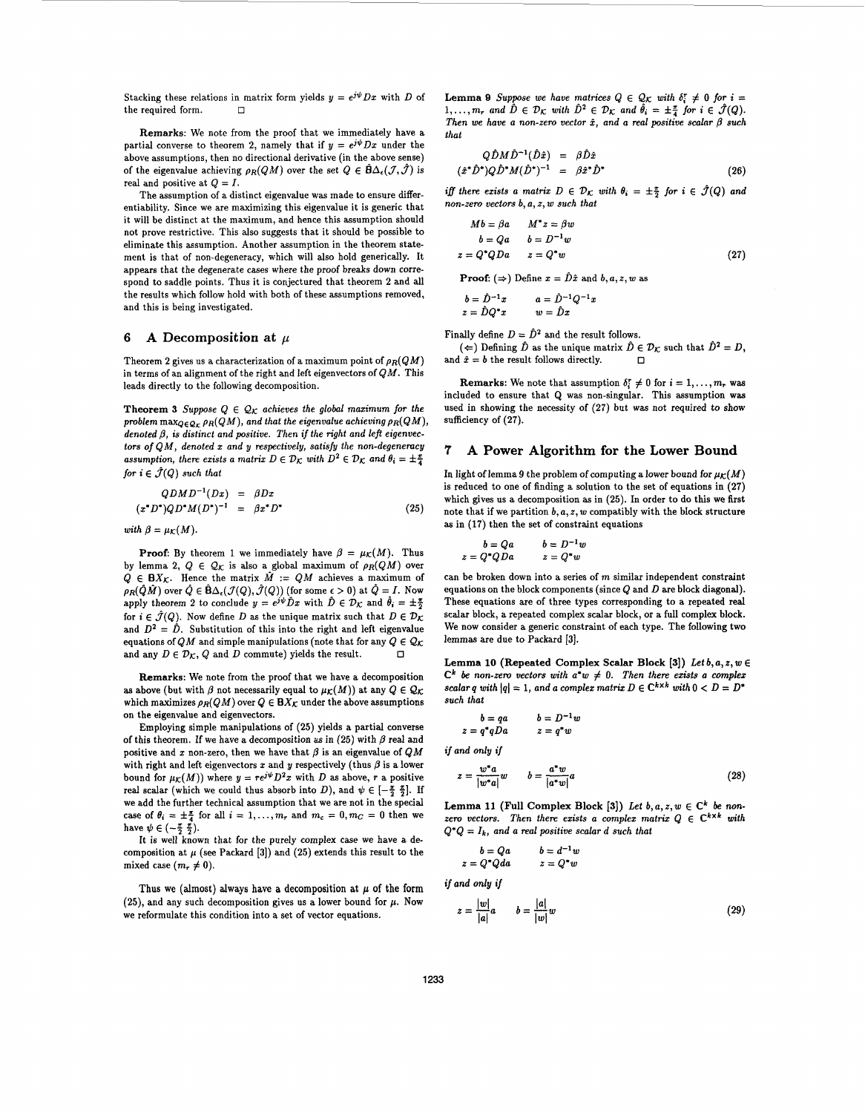Stacking these relations in matrix form yields  $y = e^{j\psi}Dx$  with *D* of the required form. *0* 

**Remarks:** We note from the proof that we immediately have a partial converse to theorem 2, namely that if  $y = e^{j\psi}Dx$  under the above assumptions, then no directional derivative (in the above sense) of the eigenvalue achieving  $\rho_R(QM)$  over the set  $Q \in \hat{B}\Delta_{\epsilon}(\mathcal{J}, \hat{\mathcal{J}})$  is real and positive at  $Q = I$ .

The assumption of a distinct eigenvalue was made to ensure differentiability. Since we are maximizing this eigenvalue it is generic that it will be distinct at the maximum, and hence this assumption should not prove restrictive. This also suggests that it should be possible to eliminate this assumption. Another assumption in the theorem statement is that of non-degeneracy, which will also hold generically. It appears that the degenerate cases where the proof breaks down correspond to saddle points. Thus it is conjectured that theorem **2** and all the results which follow hold with both of these assumptions removed, and this is being investigated.

## **6 A Decomposition at** *p*

Theorem 2 gives us a characterization of a maximum point of  $\rho_R(QM)$ in terms of an alignment of the right and left eigenvectors of  $QM$ . This leads directly to the following decomposition.

**Theorem 3** *Suppose*  $Q \in Q_K$  *achieves the global maximum for the* problem  $\max_{Q \in \mathcal{Q}_K} \rho_R(QM)$ , and that the eigenvalue achieving  $\rho_R(QM)$ , *denoted p, is distinct and positive. Then if the right and left eigenvectors of QM, denoted x and y respectively, satisfy the non-degenemcy assumption, there exists a matrix*  $D \in \mathcal{D}_K$  *with*  $D^2 \in \mathcal{D}_K$  *and*  $\theta_i = \pm \frac{\pi}{4}$ *for*  $i \in \hat{\mathcal{J}}(Q)$  such that

$$
QDMD^{-1}(Dx) = \beta Dx
$$
  

$$
(x^*D^*)QD^*M(D^*)^{-1} = \beta x^*D^*
$$
 (25)

*with*  $\beta = \mu_K(M)$ .

**Proof:** By theorem 1 we immediately have  $\beta = \mu_K(M)$ . Thus by lemma 2,  $Q \in \mathcal{Q}_K$  is also a global maximum of  $\rho_R(QM)$  over  $Q \in \mathbf{B}X_K$ . Hence the matrix  $\hat{M} := QM$  achieves a maximum of  $\rho_R(\hat{Q} \hat{M})$  over  $\hat{Q} \in \hat{\mathbf{B}} \Delta_{\epsilon}(\mathcal{J}(Q), \hat{\mathcal{J}}(Q))$  (for some  $\epsilon > 0$ ) at  $\hat{Q} = I$ . Now apply theorem 2 to conclude  $y = e^{j\psi} \hat{D}x$  with  $\hat{D} \in \mathcal{D}_{\mathcal{K}}$  and  $\hat{\theta}_i = \pm \frac{\pi}{2}$ for  $i \in \hat{\mathcal{J}}(Q)$ . Now define *D* as the unique matrix such that  $D \in \mathcal{D}_{\mathcal{K}}$ and  $D^2 = \hat{D}$ . Substitution of this into the right and left eigenvalue equations of  $QM$  and simple manipulations (note that for any  $Q \in \mathcal{Q}_K$ and any  $D \in \mathcal{D}_\mathcal{K}$ ,  $Q$  and  $D$  commute) yields the result.  $\square$ 

**Remarks:** We note from the proof that we have a decomposition as above (but with  $\beta$  not necessarily equal to  $\mu_K(M)$ ) at any  $Q \in \mathcal{Q}_K$ which maximizes  $\rho_R(QM)$  over  $Q \in BX_K$  under the above assumptions on the eigenvalue and eigenvectors.

Employing simple manipulations of **(25)** yields a partial converse of this theorem. If we have a decomposition as in  $(25)$  with  $\beta$  real and positive and  $x$  non-zero, then we have that  $\beta$  is an eigenvalue of  $QM$ with right and left eigenvectors  $x$  and  $y$  respectively (thus  $\beta$  is a lower bound for  $\mu_K(M)$ ) where  $y = re^{j\psi}D^2x$  with *D* as above, *r* a positive real scalar (which we could thus absorb into *D*), and  $\psi \in [-\frac{\pi}{2}, \frac{\pi}{2}]$ . If we add the further technical assumption that we are not in the special case of  $\theta_i = \pm \frac{\pi}{4}$  for all  $i = 1, ..., m_r$  and  $m_c = 0, m_c = 0$  then we have  $\psi \in (-\frac{\pi}{2}, \frac{\pi}{2}).$ 

It is well known that for the purely complex **case** we have a decomposition at *p* (see Packard **[3])** and **(25)** extends this result to the mixed case  $(m_r \neq 0)$ .

Thus we (almost) always have a decomposition at  $\mu$  of the form (25), and any such decomposition gives us a lower bound for  $\mu$ . Now we reformulate this condition into a set of vector equations.

**Lemma 9** *Suppose we have matrices*  $Q \in \mathcal{Q}_K$  *with*  $\delta_i^r \neq 0$  *for*  $i =$ **l**<sub>*l*</sub>...,*m<sub>r</sub>* and  $\hat{D} \in \mathcal{D}_\mathcal{K}$  with  $\hat{D}^2 \in \mathcal{D}_\mathcal{K}$  and  $\hat{\theta}_i = \pm \frac{\pi}{4}$  for  $i \in \hat{\mathcal{J}}(Q)$ . *Then we have a non-zero vector*  $\hat{x}$ , *and a real positive scalar*  $\beta$  *such that* 

$$
Q\hat{D}M\hat{D}^{-1}(\hat{D}\hat{x}) = \beta\hat{D}\hat{x}
$$
  

$$
(\hat{x}^*\hat{D}^*)Q\hat{D}^*M(\hat{D}^*)^{-1} = \beta\hat{x}^*\hat{D}^*
$$
 (26)

*iff there exists a matrix D*  $\in \mathcal{D}_K$  *with*  $\theta_i = \pm \frac{\pi}{2}$  *for*  $i \in \hat{\mathcal{J}}(Q)$  *and non-zero vectors b, a, z, w such that* 

$$
Mb = \beta a \qquad M^* z = \beta w
$$
  
\n
$$
b = Qa \qquad b = D^{-1}w
$$
  
\n
$$
z = Q^* Q Da \qquad z = Q^* w
$$
 (27)

**Proof:**  $(\Rightarrow)$  Define  $x = \hat{D}\hat{x}$  and  $b, a, z, w$  as

$$
b = \hat{D}^{-1}x \qquad a = \hat{D}^{-1}Q^{-1}x
$$
  

$$
z = \hat{D}Q^*x \qquad w = \hat{D}x
$$

Finally define  $D = \hat{D}^2$  and the result follows.

( $\Leftarrow$ ) Defining  $\hat{D}$  as the unique matrix  $\hat{D} \in \mathcal{D}_\mathcal{K}$  such that  $\hat{D}^2 = D$ ,  $\hat{d} \hat{x} = b$  the result follows directly. and  $\hat{x} = b$  the result follows directly.

**Remarks:** We note that assumption  $\delta$ :  $\neq$  0 for  $i = 1, ..., m_r$  was included to ensure that Q was non-singular. This assumption was used in showing the necessity of **(27)** but was not required to show sufficiency of  $(27)$ .

#### **7 A Power Algorithm for the Lower Bound**

In light of lemma 9 the problem of computing a lower bound for  $\mu_{\mathcal{K}}(M)$ is reduced to one of finding a solution to the set of equations in **(27)**  which gives **us** a decomposition **as** in **(25).** In order to do this we first note that if we partition *b,a,z, w* compatibly with the block structure **as** in **(17)** then the set of constraint equations

$$
\begin{array}{ccc}\nb = Qa & b = D^{-1}w \\
z = Q^*QDa & z = Q^*w\n\end{array}
$$

can be broken down into a series of **m** similar independent constraint equations on the block components (since *Q* and *D* are block diagonal). These equations are of three types corresponding to a repeated real scalar block, a repeated complex scalar block, or a full complex block. We now consider a generic constraint of each type. The following two lemmas are due to Packard **131.** 

Lemma 10 (Repeated Complex Scalar Block  $[3]$ ) Let  $b, a, z, w \in$  $C^k$  *be non-zero vectors with*  $a^*w \neq 0$ . Then there exists a complex *scalar q with*  $|q| = 1$ , *and a complex matrix*  $D \in C^{k \times k}$  *with*  $0 < D = D^*$ *such that* 

$$
b = qa \t b = D^{-1}u
$$
  

$$
z = q^*qDa \t z = q^*w
$$

*if and only if* 

$$
z = \frac{w^*a}{|w^*a|}w \qquad b = \frac{a^*w}{|a^*w|}a \tag{28}
$$

**Lemma 11 (Full Complex Block [3])** Let  $b, a, z, w \in C^k$  be nonzero vectors. Then there exists a complex matrix  $Q \in \mathbb{C}^{k \times k}$  with  $Q^*Q = I_k$ , and a real positive scalar d such that

$$
b = Qa \qquad b = d^{-1}w
$$
  

$$
z = Q^*Q da \qquad z = Q^*w
$$

*if and only if* 

$$
z = \frac{|w|}{|a|}a \qquad b = \frac{|a|}{|w|}w \tag{29}
$$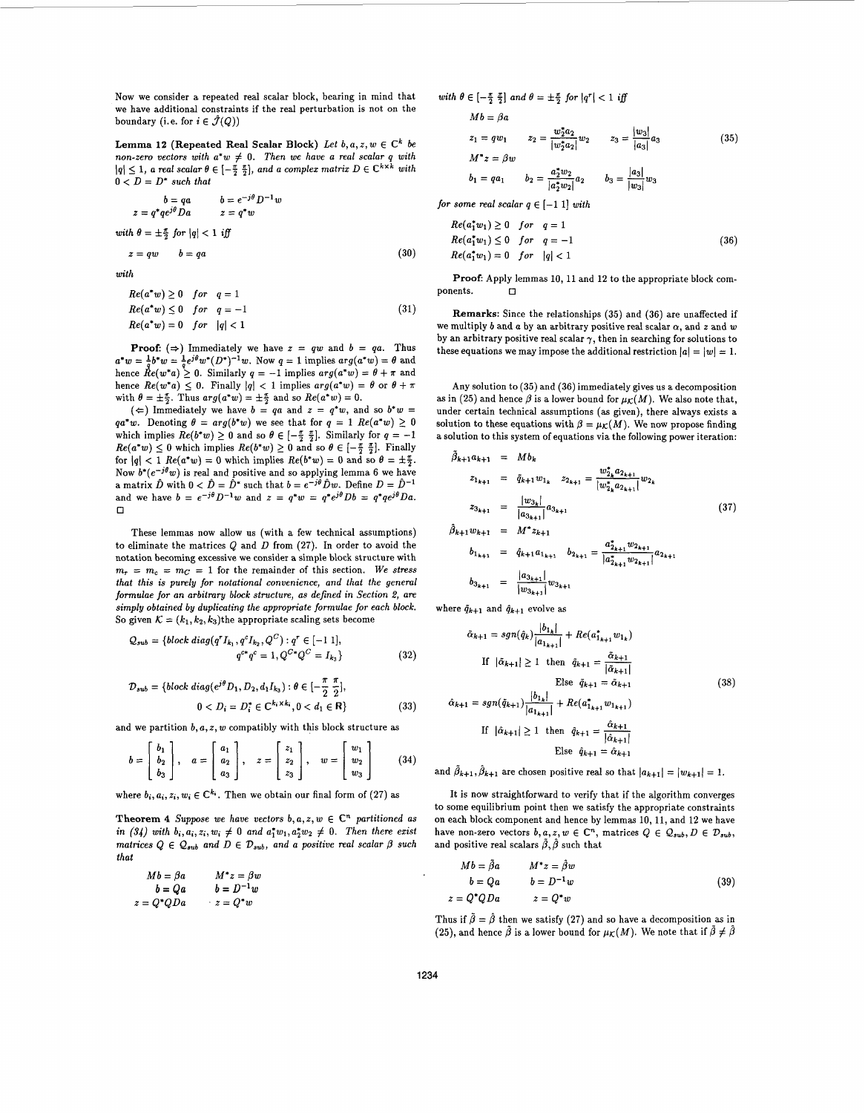Now we consider a repeated real scalar block, bearing in mind that we have additional constraints if the real perturbation is not on the boundary (i.e. for  $i \in \hat{\mathcal{J}}(Q)$ )

Lemma 12 (Repeated Real Scalar Block) Let  $b, a, z, w \in \mathbb{C}^k$  be *non-zero vectors with*  $a^*w \neq 0$ . Then we have a real scalar q with  $|q| \leq 1$ , *a real scalar*  $\theta \in \left[-\frac{\pi}{2}, \frac{\pi}{2}\right]$ , *and a complex matrix*  $D \in \mathbb{C}^{k \times k}$  with  $0 < D = D^*$  such that

$$
b = qa \t b = e^{-j\theta} D^{-1} w
$$
  

$$
z = q^* q e^{j\theta} Da \t z = q^* w
$$
  
with  $\theta = \pm \frac{\pi}{2}$  for  $|q| < 1$  iff

*z=qw b=qa* **(30)** 

*with* 

$$
Re(a^*w) \ge 0 \quad for \quad q = 1
$$
  
\n
$$
Re(a^*w) \le 0 \quad for \quad q = -1
$$
  
\n
$$
Re(a^*w) = 0 \quad for \quad |q| < 1
$$
\n(31)

**Proof:**  $(\Rightarrow)$  Immediately we have  $z = qw$  and  $b = qa$ . Thus  $a^*w = \frac{1}{b}b^*w = \frac{1}{c}e^{j\theta}w^*(D^*)^{-1}w$ . Now  $q = 1$  implies  $arg(a^*w) = \theta$  and hence  $\mathring{Re}(w^*a) \geq 0$ . Similarly  $q = -1$  implies  $arg(a^*w) = \theta + \pi$  and hence  $Re(w^*a) \leq 0$ . Finally  $|q| < 1$  implies  $arg(a^*w) = \theta$  or  $\theta + \pi$ with  $\theta = \pm \frac{\pi}{2}$ . Thus  $arg(a^*w) = \pm \frac{\pi}{2}$  and so  $Re(a^*w) = 0$ .

 $(\Leftarrow)$  Immediately we have  $b = qa$  and  $z = q^*w$ , and so  $b^*w =$  $qa^*w$ . Denoting  $\theta = arg(b^*w)$  we see that for  $q = 1$   $Re(a^*w) \ge 0$ which implies  $Re(b^*w) \ge 0$  and so  $\theta \in [-\frac{\pi}{2}, \frac{\pi}{2}]$ . Similarly for  $q = -1$  $Re(a^*w) \le 0$  which implies  $Re(b^*w) \ge 0$  and so  $\theta \in [-\frac{\pi}{2}, \frac{\pi}{2}]$ . Finally for  $|q| < 1$   $Re(a^*w) = 0$  which implies  $Re(b^*w) = 0$  and so  $\theta = \pm \frac{\pi}{2}$ . Now  $b^*(e^{-j\theta}w)$  is real and positive and so applying lemma 6 we have a matrix  $\hat{D}$  with  $0 < \hat{D} = \hat{D}^*$  such that  $b = e^{-j\theta} \hat{D}w$ . Define  $D = \hat{D}^{-1}$ and we have  $b = e^{-j\theta} D^{-1}w$  and  $z = q^*w = q^*e^{j\theta}Db = q^*qe^{j\theta}Da$ . *0* 

These lemmas now allow us (with a few technical assumptions) to eliminate the matrices *Q* and *D* from **(27).** In order to avoid the notation becoming excessive we consider a simple block structure with  $m_r = m_c = m_C = 1$  for the remainder of this section. We stress *that this is purely for notational convenience, and that the general formulae for an arbitrary block structure, as defined in Section* **2,** *are simply obtained by duplicating the appropriate formulae for each block.*  So given  $K = (k_1, k_2, k_3)$ the appropriate scaling sets become

$$
Q_{sub} = \{block\} \{block \, diag(q^r I_{k_1}, q^c I_{k_2}, Q^C) : q^r \in [-1 \, 1],
$$
  

$$
q^{c*} q^c = 1, Q^{C*} Q^C = I_{k_3} \}
$$
 (32)

$$
\mathcal{D}_{sub} = \{block\;diag(e^{j\theta}D_1, D_2, d_1I_{k_3}) : \theta \in [-\frac{\pi}{2}, \frac{\pi}{2}], 0 < D_i = D_i^* \in C^{k_i \times k_i}, 0 < d_1 \in \mathbb{R}\}
$$
\n(33)

and we partition  $b, a, z, w$  compatibly with this block structure as

$$
b = \begin{bmatrix} b_1 \\ b_2 \\ b_3 \end{bmatrix}, \quad a = \begin{bmatrix} a_1 \\ a_2 \\ a_3 \end{bmatrix}, \quad z = \begin{bmatrix} z_1 \\ z_2 \\ z_3 \end{bmatrix}, \quad w = \begin{bmatrix} w_1 \\ w_2 \\ w_3 \end{bmatrix}
$$
 (34)

where  $b_i, a_i, z_i, w_i \in \mathbb{C}^{k_i}$ . Then we obtain our final form of (27) as

**Theorem 4** *Suppose we have vectors*  $b, a, z, w \in \mathbb{C}^n$  *partitioned as in (34) with*  $b_i, a_i, z_i, w_i \neq 0$  and  $a_1^* w_1, a_2^* w_2 \neq 0$ . Then there exist *matrices*  $Q \in \mathcal{Q}_{sub}$  *and*  $D \in \mathcal{D}_{sub}$ *, and a positive real scalar*  $\beta$  *such that* 

$$
Mb = \beta a \qquad M^*z = \beta w
$$
  
\n
$$
b = Qa \qquad b = D^{-1}w
$$
  
\n
$$
z = Q^*QDa \qquad z = Q^*w
$$

with 
$$
\theta \in \left[-\frac{\pi}{2}, \frac{\pi}{2}\right]
$$
 and  $\theta = \pm \frac{\pi}{2}$  for  $|q^r| < 1$  iff

$$
Mb = \beta a
$$

$$
z_1 = qw_1 \t z_2 = \frac{w_2 a_2}{|w_2^* a_2|} w_2 \t z_3 = \frac{|w_3|}{|a_3|} a_3 \t (35)
$$
  
\n
$$
M^* z = \beta w \t b_1 = q a_1 \t b_2 = \frac{a_2^* w_2}{|a_2^* w_2|} a_2 \t b_3 = \frac{|a_3|}{|w_3|} w_3
$$

*for some real scalar*  $q \in [-1, 1]$  *with* 

$$
Re(a_1^*w_1) \ge 0 \quad for \quad q = 1
$$
  
\n
$$
Re(a_1^*w_1) \le 0 \quad for \quad q = -1
$$
  
\n
$$
Re(a_1^*w_1) = 0 \quad for \quad |q| < 1
$$
\n(36)

**Proof:** Apply lemmas **10, 11** and **12** to the appropriate block components.  $\Box$ 

**Remarks:** Since the relationships **(35)** and **(36)** are unaffected if we multiply  $b$  and  $a$  by an arbitrary positive real scalar  $\alpha$ , and  $z$  and  $w$ by an arbitrary positive real scalar  $\gamma$ , then in searching for solutions to these equations we may impose the additional restriction  $|a| = |w| = 1$ .

Any solution to **(35)** and **(36)** immediately gives us a decomposition as in (25) and hence  $\beta$  is a lower bound for  $\mu$ <sub>K</sub>(M). We also note that, under certain technical assumptions **(as** given), there always exists a solution to these equations with  $\beta = \mu_K(M)$ . We now propose finding a solution to this system of equations via the following power iteration:

$$
\tilde{\beta}_{k+1} a_{k+1} = Mb_k
$$
\n
$$
z_{1_{k+1}} = \tilde{q}_{k+1} w_{1_k} \quad z_{2_{k+1}} = \frac{w_{2_k}^* a_{2_{k+1}}}{|w_{2_k}^* a_{2_{k+1}}|} w_{2_k}
$$
\n
$$
z_{3_{k+1}} = \frac{|w_{3_k}|}{|a_{3_{k+1}}|} a_{3_{k+1}}
$$
\n
$$
\hat{\beta}_{k+1} w_{k+1} = M^* z_{k+1}
$$
\n
$$
b_{1_{k+1}} = \tilde{q}_{k+1} a_{1_{k+1}} \quad b_{2_{k+1}} = \frac{a_{2_{k+1}}^* w_{2_{k+1}}}{|a_{2_{k+1}}^* w_{2_{k+1}}|} a_{2_{k+1}}
$$
\n
$$
b_{3_{k+1}} = \frac{|a_{3_{k+1}}|}{|w_{3_{k+1}}|} w_{3_{k+1}}
$$
\n
$$
(37)
$$

where  $\tilde{q}_{k+1}$  and  $\hat{q}_{k+1}$  evolve as

 $\mathbf{r}$ 

$$
\tilde{\alpha}_{k+1} = sgn(\hat{q}_k) \frac{|b_{1_k}|}{|a_{1_{k+1}}|} + Re(a_{1_{k+1}}^* w_{1_k})
$$
  
\nIf  $|\tilde{\alpha}_{k+1}| \ge 1$  then  $\tilde{q}_{k+1} = \frac{\tilde{\alpha}_{k+1}}{|\tilde{\alpha}_{k+1}|}$   
\nEise  $\tilde{q}_{k+1} = \tilde{\alpha}_{k+1}$   
\n
$$
\hat{\alpha}_{k+1} = sgn(\tilde{q}_{k+1}) \frac{|b_{1_k}|}{|a_{1_{k+1}}|} + Re(a_{1_{k+1}}^* w_{1_{k+1}})
$$
  
\nIf  $|\tilde{\alpha}_{k+1}| \ge 1$  then  $\hat{q}_{k+1} = \frac{\hat{\alpha}_{k+1}}{|\hat{\alpha}_{k+1}|}$   
\nElse  $\hat{q}_{k+1} = \hat{\alpha}_{k+1}$ 

and  $\tilde{\beta}_{k+1}, \hat{\beta}_{k+1}$  are chosen positive real so that  $|a_{k+1}| = |w_{k+1}| = 1$ .

It is now straightforward to verify that if the algorithm converges to some equilibrium point then we satisfy the appropriate constraints on each block component and hence by lemmas **10, 11,** and **12** we have have non-zero vectors  $b, a, z, w \in \mathbb{C}^n$ , matrices  $Q \in \mathcal{Q}_{sub}, D \in \mathcal{D}_{sub}$ , and positive real scalars  $\tilde{\beta}$ ,  $\hat{\beta}$  such that

$$
Mb = \beta a \qquad M^*z = \beta w
$$
  
\n
$$
b = Qa \qquad b = D^{-1}w
$$
  
\n
$$
z = Q^*QDa \qquad z = Q^*w
$$
 (39)

Thus if  $\tilde{\beta} = \hat{\beta}$  then we satisfy (27) and so have a decomposition as in (25), and hence  $\tilde{\beta}$  is a lower bound for  $\mu_{\mathcal{K}}(M)$ . We note that if  $\tilde{\beta} \neq \hat{\beta}$